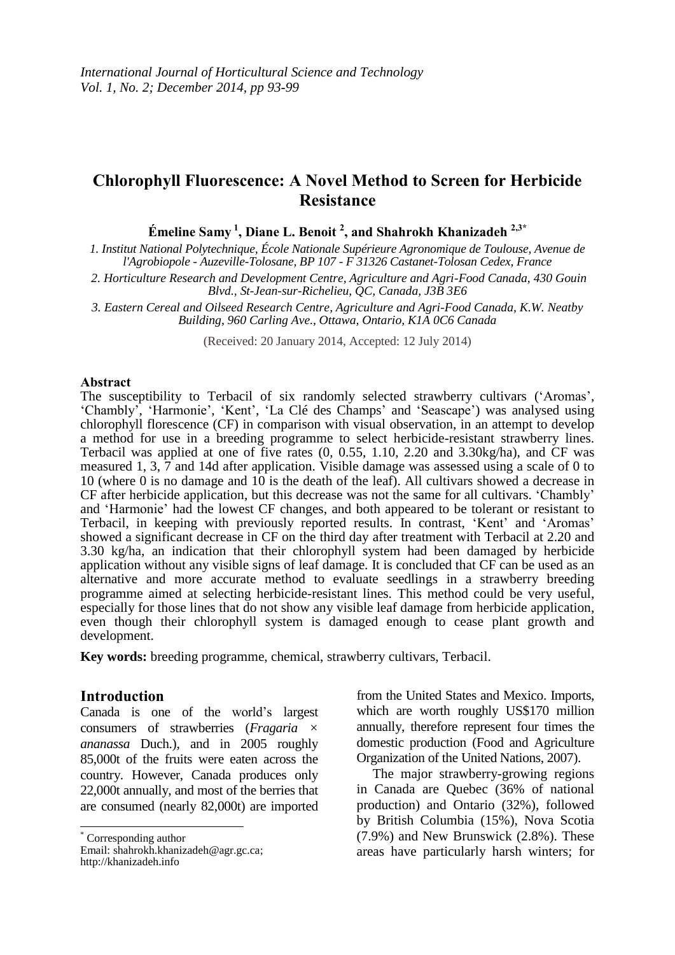# **Chlorophyll Fluorescence: A Novel Method to Screen for Herbicide Resistance**

**Émeline Samy <sup>1</sup> , Diane L. Benoit <sup>2</sup> , and Shahrokh Khanizadeh 2,3\***

*1. Institut National Polytechnique, École Nationale Supérieure Agronomique de Toulouse, Avenue de l'Agrobiopole - Auzeville-Tolosane, BP 107 - F 31326 Castanet-Tolosan Cedex, France*

*2. Horticulture Research and Development Centre, Agriculture and Agri-Food Canada, 430 Gouin Blvd., St-Jean-sur-Richelieu, QC, Canada, J3B 3E6*

*3. Eastern Cereal and Oilseed Research Centre, Agriculture and Agri-Food Canada, K.W. Neatby Building, 960 Carling Ave., Ottawa, Ontario, K1A 0C6 Canada*

(Received: 20 January 2014, Accepted: 12 July 2014)

#### **Abstract**

The susceptibility to Terbacil of six randomly selected strawberry cultivars ('Aromas', 'Chambly', 'Harmonie', 'Kent', 'La Clé des Champs' and 'Seascape') was analysed using chlorophyll florescence (CF) in comparison with visual observation, in an attempt to develop a method for use in a breeding programme to select herbicide-resistant strawberry lines. Terbacil was applied at one of five rates (0, 0.55, 1.10, 2.20 and 3.30kg/ha), and CF was measured 1, 3, 7 and 14d after application. Visible damage was assessed using a scale of 0 to 10 (where 0 is no damage and 10 is the death of the leaf). All cultivars showed a decrease in CF after herbicide application, but this decrease was not the same for all cultivars. 'Chambly' and 'Harmonie' had the lowest CF changes, and both appeared to be tolerant or resistant to Terbacil, in keeping with previously reported results. In contrast, 'Kent' and 'Aromas' showed a significant decrease in CF on the third day after treatment with Terbacil at 2.20 and 3.30 kg/ha, an indication that their chlorophyll system had been damaged by herbicide application without any visible signs of leaf damage. It is concluded that CF can be used as an alternative and more accurate method to evaluate seedlings in a strawberry breeding programme aimed at selecting herbicide-resistant lines. This method could be very useful, especially for those lines that do not show any visible leaf damage from herbicide application, even though their chlorophyll system is damaged enough to cease plant growth and development.

**Key words:** breeding programme, chemical, strawberry cultivars, Terbacil.

#### **Introduction**

Canada is one of the world's largest consumers of strawberries (*Fragaria × ananassa* Duch.), and in 2005 roughly 85,000t of the fruits were eaten across the country. However, Canada produces only 22,000t annually, and most of the berries that are consumed (nearly 82,000t) are imported

\* Corresponding author

 $\overline{a}$ 

Email: shahrokh.khanizadeh@agr.gc.ca; http://khanizadeh.info

from the United States and Mexico. Imports, which are worth roughly US\$170 million annually, therefore represent four times the domestic production (Food and Agriculture Organization of the United Nations, 2007).

The major strawberry-growing regions in Canada are Quebec (36% of national production) and Ontario (32%), followed by British Columbia (15%), Nova Scotia (7.9%) and New Brunswick (2.8%). These areas have particularly harsh winters; for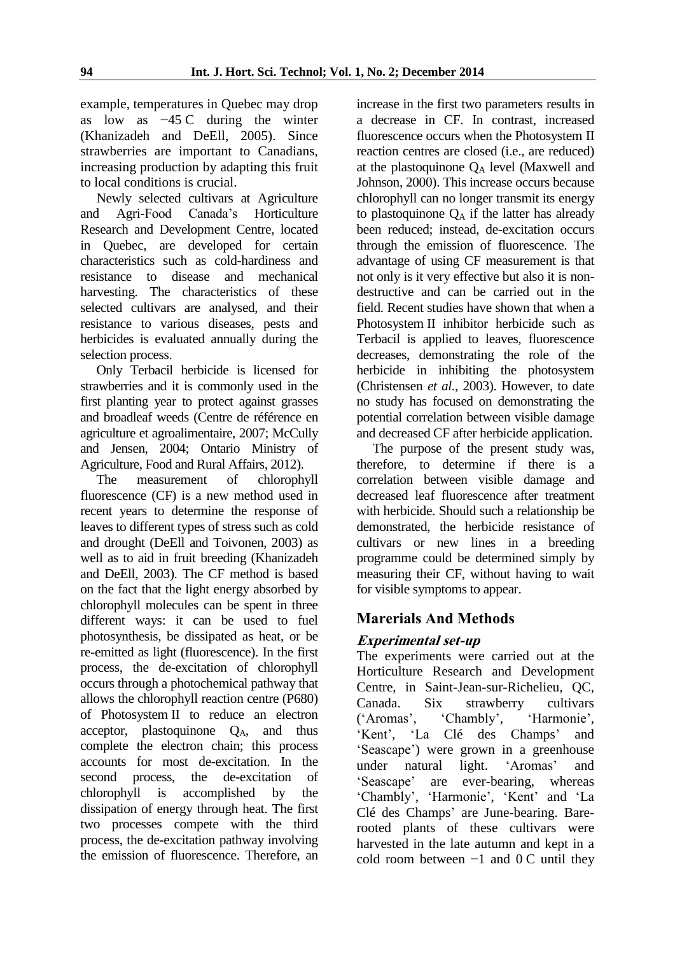example, temperatures in Quebec may drop as low as −45 C during the winter (Khanizadeh and DeEll, 2005). Since strawberries are important to Canadians, increasing production by adapting this fruit to local conditions is crucial.

Newly selected cultivars at Agriculture and Agri-Food Canada's Horticulture Research and Development Centre, located in Quebec, are developed for certain characteristics such as cold-hardiness and resistance to disease and mechanical harvesting. The characteristics of these selected cultivars are analysed, and their resistance to various diseases, pests and herbicides is evaluated annually during the selection process.

Only Terbacil herbicide is licensed for strawberries and it is commonly used in the first planting year to protect against grasses and broadleaf weeds (Centre de référence en agriculture et agroalimentaire, 2007; McCully and Jensen, 2004; Ontario Ministry of Agriculture, Food and Rural Affairs, 2012).

The measurement of chlorophyll fluorescence (CF) is a new method used in recent years to determine the response of leaves to different types of stress such as cold and drought (DeEll and Toivonen, 2003) as well as to aid in fruit breeding (Khanizadeh and DeEll, 2003). The CF method is based on the fact that the light energy absorbed by chlorophyll molecules can be spent in three different ways: it can be used to fuel photosynthesis, be dissipated as heat, or be re-emitted as light (fluorescence). In the first process, the de-excitation of chlorophyll occurs through a photochemical pathway that allows the chlorophyll reaction centre (P680) of Photosystem II to reduce an electron acceptor, plastoquinone  $Q_A$ , and thus complete the electron chain; this process accounts for most de-excitation. In the second process, the de-excitation of chlorophyll is accomplished by the dissipation of energy through heat. The first two processes compete with the third process, the de-excitation pathway involving the emission of fluorescence. Therefore, an

increase in the first two parameters results in a decrease in CF. In contrast, increased fluorescence occurs when the Photosystem II reaction centres are closed (i.e., are reduced) at the plastoquinone  $Q_A$  level (Maxwell and Johnson, 2000). This increase occurs because chlorophyll can no longer transmit its energy to plastoquinone  $Q_A$  if the latter has already been reduced; instead, de-excitation occurs through the emission of fluorescence. The advantage of using CF measurement is that not only is it very effective but also it is nondestructive and can be carried out in the field. Recent studies have shown that when a Photosystem II inhibitor herbicide such as Terbacil is applied to leaves, fluorescence decreases, demonstrating the role of the herbicide in inhibiting the photosystem (Christensen *et al.,* 2003). However, to date no study has focused on demonstrating the potential correlation between visible damage and decreased CF after herbicide application.

The purpose of the present study was, therefore, to determine if there is a correlation between visible damage and decreased leaf fluorescence after treatment with herbicide. Should such a relationship be demonstrated, the herbicide resistance of cultivars or new lines in a breeding programme could be determined simply by measuring their CF, without having to wait for visible symptoms to appear.

## **Marerials And Methods**

## **Experimental set-up**

The experiments were carried out at the Horticulture Research and Development Centre, in Saint-Jean-sur-Richelieu, QC, Canada. Six strawberry cultivars ('Aromas', 'Chambly', 'Harmonie', 'Kent', 'La Clé des Champs' and 'Seascape') were grown in a greenhouse under natural light. 'Aromas' and 'Seascape' are ever-bearing, whereas 'Chambly', 'Harmonie', 'Kent' and 'La Clé des Champs' are June-bearing. Barerooted plants of these cultivars were harvested in the late autumn and kept in a cold room between −1 and 0 C until they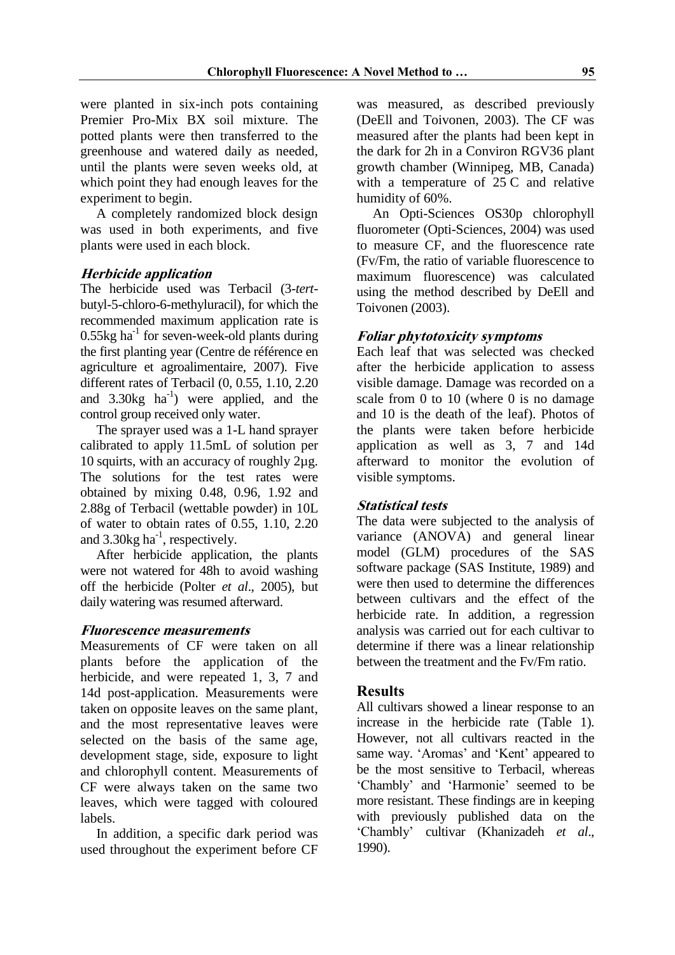were planted in six-inch pots containing Premier Pro-Mix BX soil mixture. The potted plants were then transferred to the greenhouse and watered daily as needed, until the plants were seven weeks old, at which point they had enough leaves for the experiment to begin.

A completely randomized block design was used in both experiments, and five plants were used in each block.

### **Herbicide application**

The herbicide used was Terbacil (3-*tert*butyl-5-chloro-6-methyluracil), for which the recommended maximum application rate is  $0.55$ kg ha<sup>-1</sup> for seven-week-old plants during the first planting year (Centre de référence en agriculture et agroalimentaire, 2007). Five different rates of Terbacil (0, 0.55, 1.10, 2.20 and  $3.30\text{kg}$  ha<sup>-1</sup>) were applied, and the control group received only water.

The sprayer used was a 1-L hand sprayer calibrated to apply 11.5mL of solution per 10 squirts, with an accuracy of roughly 2µg. The solutions for the test rates were obtained by mixing 0.48, 0.96, 1.92 and 2.88g of Terbacil (wettable powder) in 10L of water to obtain rates of 0.55, 1.10, 2.20 and  $3.30$ kg ha<sup>-1</sup>, respectively.

After herbicide application, the plants were not watered for 48h to avoid washing off the herbicide (Polter *et al*., 2005), but daily watering was resumed afterward.

### **Fluorescence measurements**

Measurements of CF were taken on all plants before the application of the herbicide, and were repeated 1, 3, 7 and 14d post-application. Measurements were taken on opposite leaves on the same plant, and the most representative leaves were selected on the basis of the same age, development stage, side, exposure to light and chlorophyll content. Measurements of CF were always taken on the same two leaves, which were tagged with coloured labels.

In addition, a specific dark period was used throughout the experiment before CF was measured, as described previously (DeEll and Toivonen, 2003). The CF was measured after the plants had been kept in the dark for 2h in a Conviron RGV36 plant growth chamber (Winnipeg, MB, Canada) with a temperature of 25 C and relative humidity of 60%.

An Opti-Sciences OS30p chlorophyll fluorometer (Opti-Sciences, 2004) was used to measure CF, and the fluorescence rate (Fv/Fm, the ratio of variable fluorescence to maximum fluorescence) was calculated using the method described by DeEll and Toivonen (2003).

## **Foliar phytotoxicity symptoms**

Each leaf that was selected was checked after the herbicide application to assess visible damage. Damage was recorded on a scale from 0 to 10 (where 0 is no damage and 10 is the death of the leaf). Photos of the plants were taken before herbicide application as well as 3, 7 and 14d afterward to monitor the evolution of visible symptoms.

### **Statistical tests**

The data were subjected to the analysis of variance (ANOVA) and general linear model (GLM) procedures of the SAS software package (SAS Institute, 1989) and were then used to determine the differences between cultivars and the effect of the herbicide rate. In addition, a regression analysis was carried out for each cultivar to determine if there was a linear relationship between the treatment and the Fv/Fm ratio.

#### **Results**

All cultivars showed a linear response to an increase in the herbicide rate (Table 1). However, not all cultivars reacted in the same way. 'Aromas' and 'Kent' appeared to be the most sensitive to Terbacil, whereas 'Chambly' and 'Harmonie' seemed to be more resistant. These findings are in keeping with previously published data on the 'Chambly' cultivar (Khanizadeh *et al*., 1990).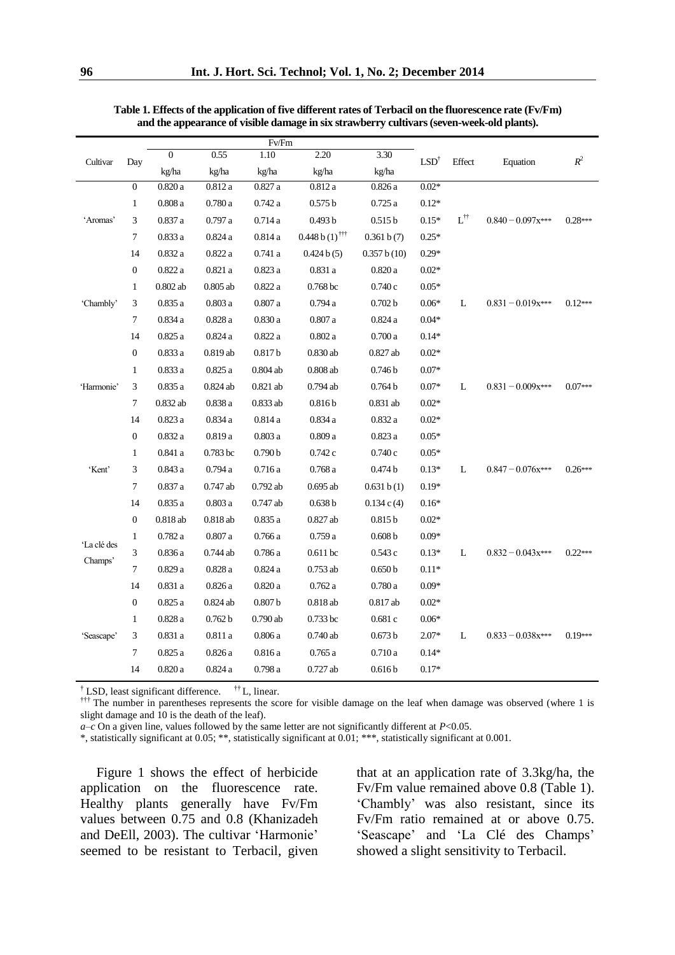|                        |                  | Fv/Fm        |                     |                     |                             |                     |                  |                      |                     |           |
|------------------------|------------------|--------------|---------------------|---------------------|-----------------------------|---------------------|------------------|----------------------|---------------------|-----------|
| Cultivar               | Day              | $\mathbf{0}$ | 0.55                | 1.10                | 2.20                        | 3.30                | LSD <sup>†</sup> | Effect               | Equation            | $R^2$     |
|                        |                  | kg/ha        | kg/ha               | kg/ha               | kg/ha                       | kg/ha               |                  |                      |                     |           |
| 'Aromas'               | $\boldsymbol{0}$ | 0.820a       | 0.812a              | 0.827a              | $0.812\ a$                  | $0.826\,\mathrm{a}$ | $0.02*$          |                      |                     |           |
|                        | $\mathbf{1}$     | 0.808a       | 0.780a              | 0.742a              | 0.575 b                     | 0.725a              | $0.12*$          |                      |                     |           |
|                        | 3                | 0.837a       | 0.797a              | 0.714a              | 0.493 b                     | 0.515 b             | $0.15*$          | $L^{\dagger\dagger}$ | $0.840 - 0.097x***$ | $0.28***$ |
|                        | $\boldsymbol{7}$ | 0.833a       | 0.824a              | $0.814$ a           | $0.448 b(1)$ <sup>†††</sup> | 0.361 b(7)          | $0.25*$          |                      |                     |           |
|                        | 14               | 0.832a       | $0.822\,\mathrm{a}$ | 0.741a              | 0.424 b(5)                  | 0.357 b(10)         | $0.29*$          |                      |                     |           |
| 'Chambly'              | $\boldsymbol{0}$ | 0.822a       | 0.821a              | 0.823a              | 0.831a                      | $0.820\,\mathrm{a}$ | $0.02*$          |                      |                     |           |
|                        | $\mathbf{1}$     | $0.802$ ab   | $0.805$ ab          | $0.822\,\mathrm{a}$ | $0.768$ bc                  | 0.740c              | $0.05*$          |                      |                     |           |
|                        | 3                | 0.835a       | 0.803a              | $0.807\,\mathrm{a}$ | 0.794a                      | 0.702 b             | $0.06*$          | L                    | $0.831 - 0.019x***$ | $0.12***$ |
|                        | 7                | 0.834a       | 0.828a              | 0.830a              | $0.807\,\mathrm{a}$         | 0.824a              | $0.04*$          |                      |                     |           |
|                        | 14               | 0.825a       | 0.824a              | 0.822a              | 0.802a                      | 0.700a              | $0.14*$          |                      |                     |           |
| 'Harmonie'             | $\boldsymbol{0}$ | 0.833a       | 0.819 ab            | 0.817b              | $0.830$ ab                  | $0.827$ ab          | $0.02*$          |                      |                     |           |
|                        | $\mathbf{1}$     | 0.833a       | 0.825a              | $0.804$ ab          | $0.808$ ab                  | 0.746 b             | $0.07*$          |                      |                     |           |
|                        | 3                | 0.835a       | $0.824$ ab          | $0.821$ ab          | $0.794$ ab                  | 0.764 <sub>b</sub>  | $0.07*$          | L                    | $0.831 - 0.009x***$ | $0.07***$ |
|                        | $\tau$           | 0.832 ab     | 0.838a              | 0.833 ab            | 0.816 <sub>b</sub>          | 0.831 ab            | $0.02*$          |                      |                     |           |
|                        | 14               | 0.823a       | 0.834a              | 0.814a              | 0.834a                      | 0.832a              | $0.02*$          |                      |                     |           |
| 'Kent'                 | $\boldsymbol{0}$ | 0.832a       | 0.819a              | $0.803\ \mathrm{a}$ | $0.809\,\mathrm{a}$         | 0.823a              | $0.05*$          |                      |                     |           |
|                        | $\mathbf{1}$     | 0.841a       | 0.783 bc            | 0.790 <sub>b</sub>  | 0.742c                      | 0.740c              | $0.05*$          |                      |                     |           |
|                        | 3                | 0.843a       | 0.794a              | 0.716a              | 0.768a                      | 0.474 b             | $0.13*$          | L                    | $0.847 - 0.076x***$ | $0.26***$ |
|                        | $\tau$           | 0.837a       | 0.747 ab            | $0.792$ ab          | $0.695$ ab                  | 0.631 b(1)          | $0.19*$          |                      |                     |           |
|                        | 14               | 0.835a       | 0.803a              | $0.747$ ab          | 0.638 b                     | 0.134c(4)           | $0.16*$          |                      |                     |           |
| 'La clé des<br>Champs' | $\boldsymbol{0}$ | $0.818$ ab   | 0.818 ab            | 0.835a              | $0.827$ ab                  | $0.815\,\mathrm{b}$ | $0.02*$          |                      |                     |           |
|                        | $\mathbf{1}$     | 0.782a       | 0.807a              | 0.766a              | 0.759a                      | 0.608 b             | $0.09*$          |                      |                     |           |
|                        | $\mathfrak{Z}$   | 0.836a       | $0.744$ ab          | 0.786a              | 0.611 bc                    | 0.543 c             | $0.13*$          | L                    | $0.832 - 0.043x***$ | $0.22***$ |
|                        | $\tau$           | 0.829a       | 0.828a              | 0.824a              | $0.753$ ab                  | 0.650 <sub>b</sub>  | $0.11*$          |                      |                     |           |
|                        | 14               | 0.831a       | 0.826a              | 0.820a              | 0.762a                      | $0.780\,\mathrm{a}$ | $0.09*$          |                      |                     |           |
| 'Seascape'             | $\boldsymbol{0}$ | 0.825a       | $0.824$ ab          | 0.807 <sub>b</sub>  | $0.818$ ab                  | 0.817 ab            | $0.02*$          |                      |                     |           |
|                        | $\mathbf{1}$     | 0.828a       | 0.762 b             | $0.790$ ab          | $0.733$ bc                  | 0.681c              | $0.06*$          |                      |                     |           |
|                        | 3                | 0.831a       | 0.811a              | 0.806a              | $0.740$ ab                  | 0.673 b             | $2.07*$          | L                    | $0.833 - 0.038x***$ | $0.19***$ |
|                        | $\tau$           | 0.825a       | 0.826a              | 0.816a              | 0.765a                      | 0.710a              | $0.14*$          |                      |                     |           |
|                        | 14               | 0.820a       | 0.824a              | $0.798\,\mathrm{a}$ | $0.727$ ab                  | $0.616\,\mathrm{b}$ | $0.17*$          |                      |                     |           |

**Table 1. Effects of the application of five different rates of Terbacil on the fluorescence rate (Fv/Fm) and the appearance of visible damage in six strawberry cultivars (seven-week-old plants).** 

† LSD, least significant difference. †† L, linear.

††† The number in parentheses represents the score for visible damage on the leaf when damage was observed (where 1 is slight damage and 10 is the death of the leaf).

*a–c* On a given line, values followed by the same letter are not significantly different at *P*<0.05.

\*, statistically significant at 0.05; \*\*, statistically significant at 0.01; \*\*\*, statistically significant at 0.001.

Figure 1 shows the effect of herbicide application on the fluorescence rate. Healthy plants generally have Fv/Fm values between 0.75 and 0.8 (Khanizadeh and DeEll, 2003). The cultivar 'Harmonie' seemed to be resistant to Terbacil, given that at an application rate of 3.3kg/ha, the Fv/Fm value remained above 0.8 (Table 1). 'Chambly' was also resistant, since its Fv/Fm ratio remained at or above 0.75. 'Seascape' and 'La Clé des Champs' showed a slight sensitivity to Terbacil.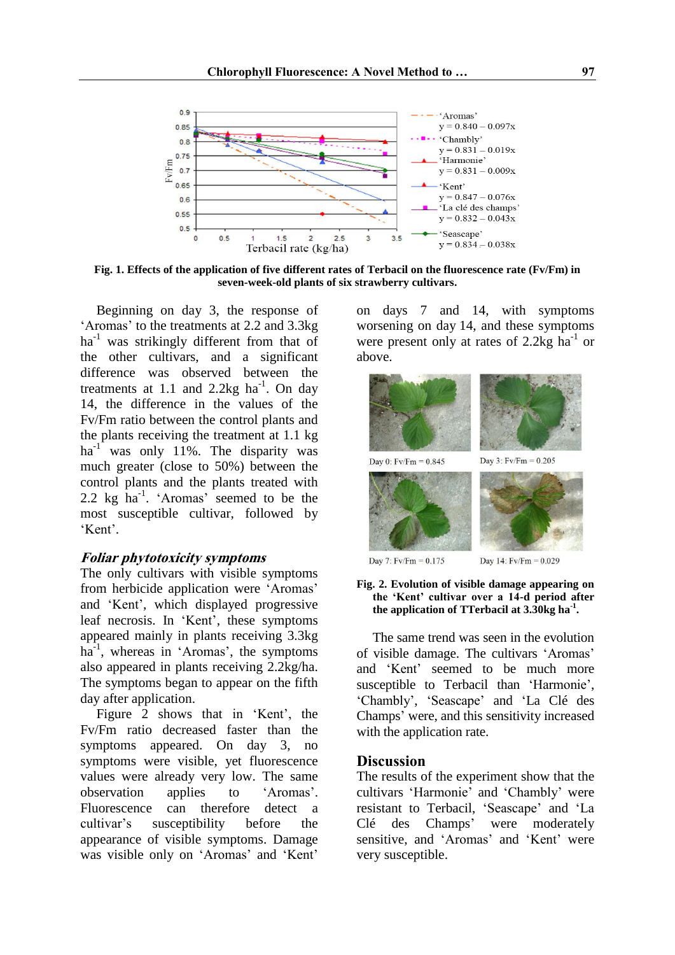

**Fig. 1. Effects of the application of five different rates of Terbacil on the fluorescence rate (Fv/Fm) in seven-week-old plants of six strawberry cultivars.**

Beginning on day 3, the response of 'Aromas' to the treatments at 2.2 and 3.3kg  $ha^{-1}$  was strikingly different from that of the other cultivars, and a significant difference was observed between the treatments at 1.1 and 2.2 $kg$  ha<sup>-1</sup>. On day 14, the difference in the values of the Fv/Fm ratio between the control plants and the plants receiving the treatment at 1.1 kg  $ha^{-1}$  was only 11%. The disparity was much greater (close to 50%) between the control plants and the plants treated with 2.2  $kg$   $ha^{-1}$ . 'Aromas' seemed to be the most susceptible cultivar, followed by 'Kent'.

### **Foliar phytotoxicity symptoms**

The only cultivars with visible symptoms from herbicide application were 'Aromas' and 'Kent', which displayed progressive leaf necrosis. In 'Kent', these symptoms appeared mainly in plants receiving 3.3kg ha<sup>-1</sup>, whereas in 'Aromas', the symptoms also appeared in plants receiving 2.2kg/ha. The symptoms began to appear on the fifth day after application.

Figure 2 shows that in 'Kent', the Fv/Fm ratio decreased faster than the symptoms appeared. On day 3, no symptoms were visible, yet fluorescence values were already very low. The same observation applies to 'Aromas'. Fluorescence can therefore detect a cultivar's susceptibility before the appearance of visible symptoms. Damage was visible only on 'Aromas' and 'Kent' on days 7 and 14, with symptoms worsening on day 14, and these symptoms were present only at rates of  $2.2$ kg ha<sup>-1</sup> or above.





The same trend was seen in the evolution of visible damage. The cultivars 'Aromas' and 'Kent' seemed to be much more susceptible to Terbacil than 'Harmonie', 'Chambly', 'Seascape' and 'La Clé des Champs' were, and this sensitivity increased with the application rate.

#### **Discussion**

The results of the experiment show that the cultivars 'Harmonie' and 'Chambly' were resistant to Terbacil, 'Seascape' and 'La Clé des Champs' were moderately sensitive, and 'Aromas' and 'Kent' were very susceptible.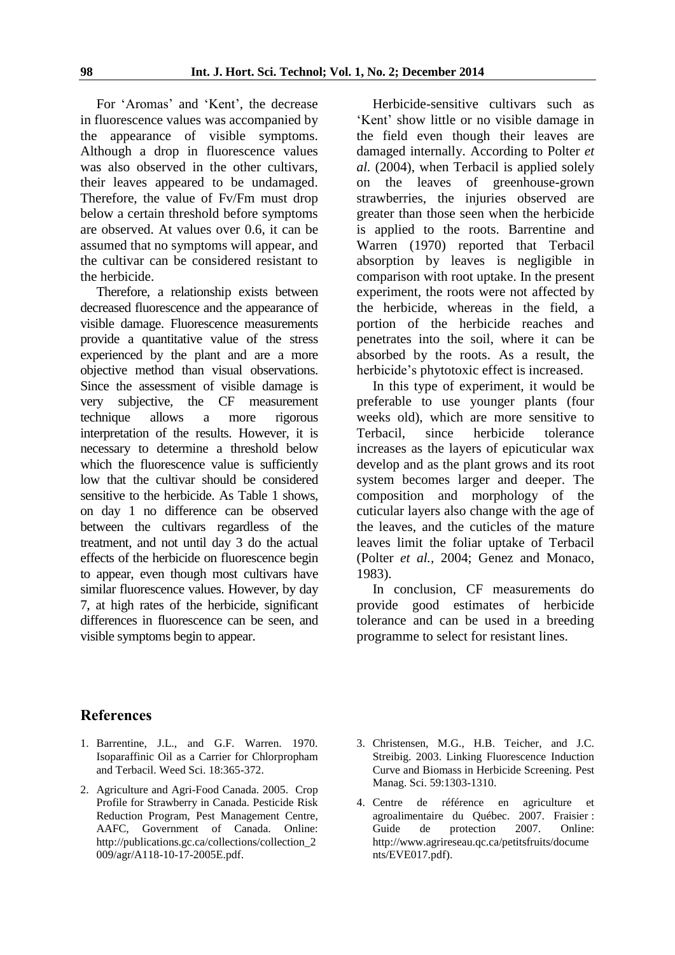For 'Aromas' and 'Kent', the decrease in fluorescence values was accompanied by the appearance of visible symptoms. Although a drop in fluorescence values was also observed in the other cultivars, their leaves appeared to be undamaged. Therefore, the value of Fv/Fm must drop below a certain threshold before symptoms are observed. At values over 0.6, it can be assumed that no symptoms will appear, and the cultivar can be considered resistant to the herbicide.

Therefore, a relationship exists between decreased fluorescence and the appearance of visible damage. Fluorescence measurements provide a quantitative value of the stress experienced by the plant and are a more objective method than visual observations. Since the assessment of visible damage is very subjective, the CF measurement technique allows a more rigorous interpretation of the results. However, it is necessary to determine a threshold below which the fluorescence value is sufficiently low that the cultivar should be considered sensitive to the herbicide. As Table 1 shows, on day 1 no difference can be observed between the cultivars regardless of the treatment, and not until day 3 do the actual effects of the herbicide on fluorescence begin to appear, even though most cultivars have similar fluorescence values. However, by day 7, at high rates of the herbicide, significant differences in fluorescence can be seen, and visible symptoms begin to appear.

Herbicide-sensitive cultivars such as 'Kent' show little or no visible damage in the field even though their leaves are damaged internally. According to Polter *et al.* (2004), when Terbacil is applied solely on the leaves of greenhouse-grown strawberries, the injuries observed are greater than those seen when the herbicide is applied to the roots. Barrentine and Warren (1970) reported that Terbacil absorption by leaves is negligible in comparison with root uptake. In the present experiment, the roots were not affected by the herbicide, whereas in the field, a portion of the herbicide reaches and penetrates into the soil, where it can be absorbed by the roots. As a result, the herbicide's phytotoxic effect is increased.

In this type of experiment, it would be preferable to use younger plants (four weeks old), which are more sensitive to Terbacil, since herbicide tolerance increases as the layers of epicuticular wax develop and as the plant grows and its root system becomes larger and deeper. The composition and morphology of the cuticular layers also change with the age of the leaves, and the cuticles of the mature leaves limit the foliar uptake of Terbacil (Polter *et al.,* 2004; Genez and Monaco, 1983).

In conclusion, CF measurements do provide good estimates of herbicide tolerance and can be used in a breeding programme to select for resistant lines.

## **References**

- 1. Barrentine, J.L., and G.F. Warren. 1970. Isoparaffinic Oil as a Carrier for Chlorpropham and Terbacil. Weed Sci. 18:365-372.
- 2. Agriculture and Agri-Food Canada. 2005. Crop Profile for Strawberry in Canada. Pesticide Risk Reduction Program, Pest Management Centre, AAFC, Government of Canada. Online: http://publications.gc.ca/collections/collection\_2 009/agr/A118-10-17-2005E.pdf.
- 3. Christensen, M.G., H.B. Teicher, and J.C. Streibig. 2003. Linking Fluorescence Induction Curve and Biomass in Herbicide Screening. Pest Manag. Sci. 59:1303-1310.
- 4. Centre de référence en agriculture et agroalimentaire du Québec. 2007. Fraisier : Guide de protection 2007. Online: http://www.agrireseau.qc.ca/petitsfruits/docume nts/EVE017.pdf).